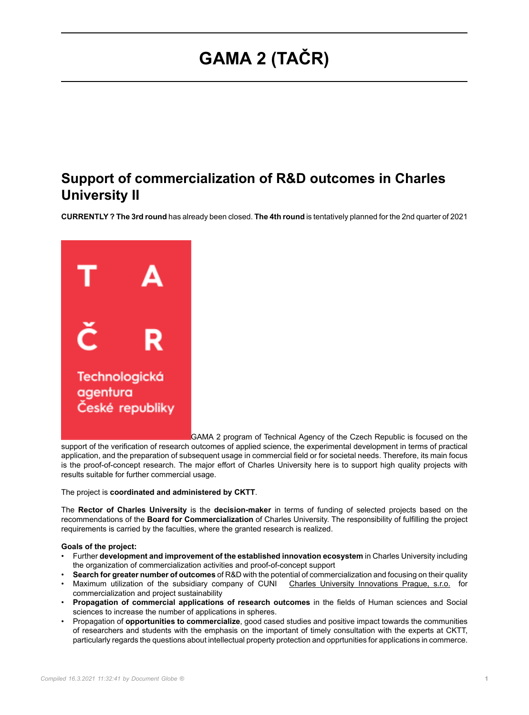## **GAMA 2 (TAČR)**

## **Support of commercialization of R&D outcomes in Charles University II**

**CURRENTLY ? The 3rd round** has already been closed. **The 4th round** is tentatively planned for the 2nd quarter of 2021



GAMA 2 program of Technical Agency of the Czech Republic is focused on the

support of the verification of research outcomes of applied science, the experimental development in terms of practical application, and the preparation of subsequent usage in commercial field or for societal needs. Therefore, its main focus is the proof-of-concept research. The major effort of Charles University here is to support high quality projects with results suitable for further commercial usage.

The project is **coordinated and administered by CKTT**.

The **Rector of Charles University** is the **decision-maker** in terms of funding of selected projects based on the recommendations of the **Board for Commercialization** of Charles University. The responsibility of fulfilling the project requirements is carried by the faculties, where the granted research is realized.

## **Goals of the project:**

- Further **development and improvement of the established innovation ecosystem** in Charles University including the organization of commercialization activities and proof-of-concept support
- **Search for greater number of outcomes** of R&D with the potential of commercialization and focusing on their quality
- Maximum utilization of the subsidiary company of CUNI [Charles University Innovations Prague, s.r.o.](https://www.cuip.cz/) for commercialization and project sustainability
- **Propagation of commercial applications of research outcomes** in the fields of Human sciences and Social sciences to increase the number of applications in spheres.
- Propagation of **opportunities to commercialize**, good cased studies and positive impact towards the communities of researchers and students with the emphasis on the important of timely consultation with the experts at CKTT, particularly regards the questions about intellectual property protection and opprtunities for applications in commerce.